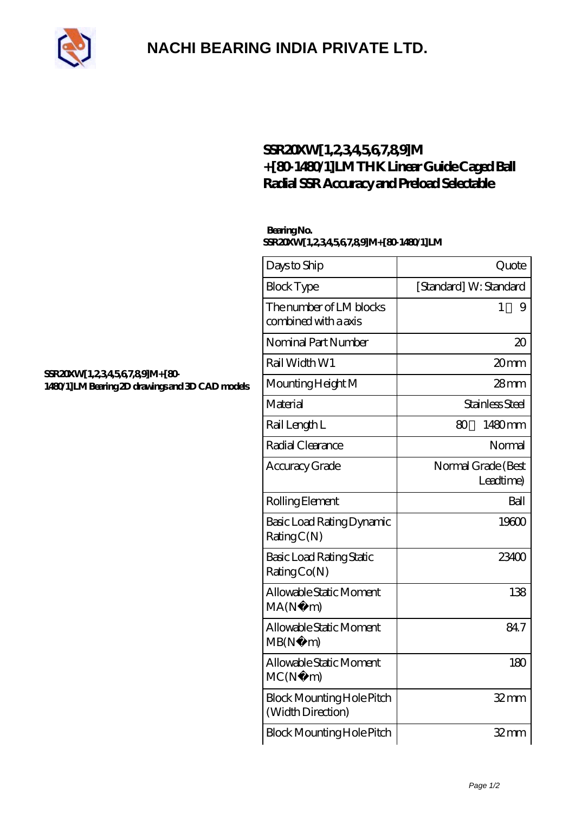

## **[NACHI BEARING INDIA PRIVATE LTD.](https://m.pipilatou.com)**

### SSR20XW 1,234567,89M **[+\[80-1480/1\]LM THK Linear Guide Caged Ball](https://m.pipilatou.com/thk-linear-motion/ssr20xw-1-2-3-4-5-6-7-8-9-m-80-1480-1-lm.html) [Radial SSR Accuracy and Preload Selectable](https://m.pipilatou.com/thk-linear-motion/ssr20xw-1-2-3-4-5-6-7-8-9-m-80-1480-1-lm.html)**

### **Bearing No. SSR20XW[1,2,3,4,5,6,7,8,9]M+[80-1480/1]LM**

| Days to Ship                                          | Quote                           |
|-------------------------------------------------------|---------------------------------|
| <b>Block Type</b>                                     | [Standard] W: Standard          |
| The number of LM blocks<br>combined with a axis       | 1<br>9                          |
| Nominal Part Number                                   | $\infty$                        |
| Rail Width W1                                         | 20mm                            |
| Mounting Height M                                     | $28 \text{mm}$                  |
| Material                                              | Stainless Steel                 |
| Rail Length L                                         | 1480mm<br>80                    |
| Radial Clearance                                      | Normal                          |
| Accuracy Grade                                        | Normal Grade (Best<br>Leadtime) |
| Rolling Element                                       | Ball                            |
| Basic Load Rating Dynamic<br>RatingC(N)               | 19600                           |
| <b>Basic Load Rating Static</b><br>Rating Co(N)       | 23400                           |
| Allowable Static Moment<br>MA(N)<br>m)                | 138                             |
| Allowable Static Moment<br>MB(N)<br>m)                | 847                             |
| Allowable Static Moment<br>MC(N)<br>m)                | 180                             |
| <b>Block Mounting Hole Pitch</b><br>(Width Direction) | $32$ mm                         |
| <b>Block Mounting Hole Pitch</b>                      | 32 <sub>mm</sub>                |

#### **SSR20XW[1,234567,89]M+[80-[1480/1\]LM Bearing 2D drawings and 3D CAD models](https://m.pipilatou.com/pic-629937.html)**